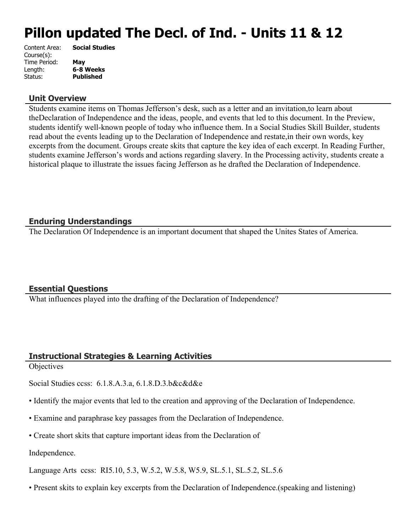# **Pillon updated The Decl. of Ind. - Units 11 & 12**

| <b>Social Studies</b> |
|-----------------------|
|                       |
| May                   |
| 6-8 Weeks             |
| <b>Published</b>      |
|                       |

#### **Unit Overview**

Students examine items on Thomas Jefferson's desk, such as a letter and an invitation,to learn about theDeclaration of Independence and the ideas, people, and events that led to this document. In the Preview, students identify well-known people of today who influence them. In a Social Studies Skill Builder, students read about the events leading up to the Declaration of Independence and restate,in their own words, key excerpts from the document. Groups create skits that capture the key idea of each excerpt. In Reading Further, students examine Jefferson's words and actions regarding slavery. In the Processing activity, students create a historical plaque to illustrate the issues facing Jefferson as he drafted the Declaration of Independence.

### **Enduring Understandings**

The Declaration Of Independence is an important document that shaped the Unites States of America.

#### **Essential Questions**

What influences played into the drafting of the Declaration of Independence?

### **Instructional Strategies & Learning Activities**

**Objectives** 

Social Studies ccss: 6.1.8.A.3.a, 6.1.8.D.3.b&c&d&e

- Identify the major events that led to the creation and approving of the Declaration of Independence.
- Examine and paraphrase key passages from the Declaration of Independence.
- Create short skits that capture important ideas from the Declaration of

Independence.

Language Arts ccss: RI5.10, 5.3, W.5.2, W.5.8, W5.9, SL.5.1, SL.5.2, SL.5.6

• Present skits to explain key excerpts from the Declaration of Independence.(speaking and listening)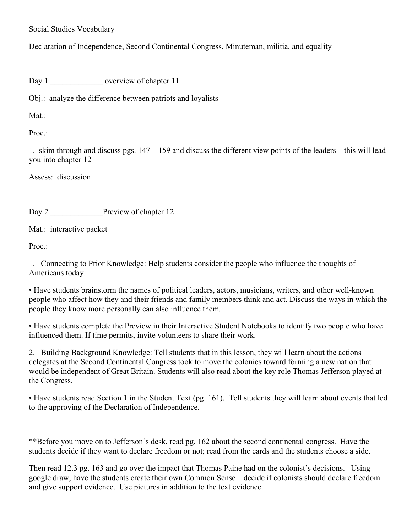Social Studies Vocabulary

Declaration of Independence, Second Continental Congress, Minuteman, militia, and equality

Day 1 coverview of chapter 11

Obj.: analyze the difference between patriots and loyalists

Mat ·

Proc.:

1. skim through and discuss pgs. 147 – 159 and discuss the different view points of the leaders – this will lead you into chapter 12

Assess: discussion

Day 2 **Preview of chapter 12** 

Mat.: interactive packet

Proc.:

1. Connecting to Prior Knowledge: Help students consider the people who influence the thoughts of Americans today.

• Have students brainstorm the names of political leaders, actors, musicians, writers, and other well-known people who affect how they and their friends and family members think and act. Discuss the ways in which the people they know more personally can also influence them.

• Have students complete the Preview in their Interactive Student Notebooks to identify two people who have influenced them. If time permits, invite volunteers to share their work.

2. Building Background Knowledge: Tell students that in this lesson, they will learn about the actions delegates at the Second Continental Congress took to move the colonies toward forming a new nation that would be independent of Great Britain. Students will also read about the key role Thomas Jefferson played at the Congress.

• Have students read Section 1 in the Student Text (pg. 161). Tell students they will learn about events that led to the approving of the Declaration of Independence.

\*\*Before you move on to Jefferson's desk, read pg. 162 about the second continental congress. Have the students decide if they want to declare freedom or not; read from the cards and the students choose a side.

Then read 12.3 pg. 163 and go over the impact that Thomas Paine had on the colonist's decisions. Using google draw, have the students create their own Common Sense – decide if colonists should declare freedom and give support evidence. Use pictures in addition to the text evidence.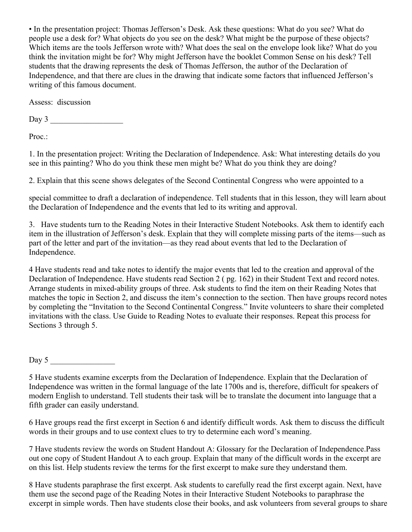• In the presentation project: Thomas Jefferson's Desk. Ask these questions: What do you see? What do people use a desk for? What objects do you see on the desk? What might be the purpose of these objects? Which items are the tools Jefferson wrote with? What does the seal on the envelope look like? What do you think the invitation might be for? Why might Jefferson have the booklet Common Sense on his desk? Tell students that the drawing represents the desk of Thomas Jefferson, the author of the Declaration of Independence, and that there are clues in the drawing that indicate some factors that influenced Jefferson's writing of this famous document.

Assess: discussion

Day 3 \_\_\_\_\_\_\_\_\_\_\_\_\_\_\_\_\_\_

Proc.:

1. In the presentation project: Writing the Declaration of Independence. Ask: What interesting details do you see in this painting? Who do you think these men might be? What do you think they are doing?

2. Explain that this scene shows delegates of the Second Continental Congress who were appointed to a

special committee to draft a declaration of independence. Tell students that in this lesson, they will learn about the Declaration of Independence and the events that led to its writing and approval.

3. Have students turn to the Reading Notes in their Interactive Student Notebooks. Ask them to identify each item in the illustration of Jefferson's desk. Explain that they will complete missing parts of the items—such as part of the letter and part of the invitation—as they read about events that led to the Declaration of Independence.

4 Have students read and take notes to identify the major events that led to the creation and approval of the Declaration of Independence. Have students read Section 2 ( pg. 162) in their Student Text and record notes. Arrange students in mixed-ability groups of three. Ask students to find the item on their Reading Notes that matches the topic in Section 2, and discuss the item's connection to the section. Then have groups record notes by completing the "Invitation to the Second Continental Congress." Invite volunteers to share their completed invitations with the class. Use Guide to Reading Notes to evaluate their responses. Repeat this process for Sections 3 through 5.

Day  $5$ 

6 Have groups read the first excerpt in Section 6 and identify difficult words. Ask them to discuss the difficult words in their groups and to use context clues to try to determine each word's meaning.

7 Have students review the words on Student Handout A: Glossary for the Declaration of Independence.Pass out one copy of Student Handout A to each group. Explain that many of the difficult words in the excerpt are on this list. Help students review the terms for the first excerpt to make sure they understand them.

8 Have students paraphrase the first excerpt. Ask students to carefully read the first excerpt again. Next, have them use the second page of the Reading Notes in their Interactive Student Notebooks to paraphrase the excerpt in simple words. Then have students close their books, and ask volunteers from several groups to share

<sup>5</sup> Have students examine excerpts from the Declaration of Independence. Explain that the Declaration of Independence was written in the formal language of the late 1700s and is, therefore, difficult for speakers of modern English to understand. Tell students their task will be to translate the document into language that a fifth grader can easily understand.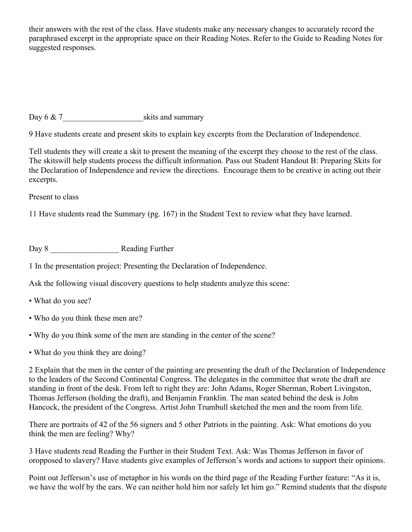their answers with the rest of the class. Have students make any necessary changes to accurately record the paraphrased excerpt in the appropriate space on their Reading Notes. Refer to the Guide to Reading Notes for suggested responses.

Day 6  $\&$  7  $\qquad \qquad$  skits and summary

9 Have students create and present skits to explain key excerpts from the Declaration of Independence.

Tell students they will create a skit to present the meaning of the excerpt they choose to the rest of the class. The skitswill help students process the difficult information. Pass out Student Handout B: Preparing Skits for the Declaration of Independence and review the directions. Encourage them to be creative in acting out their excerpts.

Present to class

11 Have students read the Summary (pg. 167) in the Student Text to review what they have learned.

Day 8 \_\_\_\_\_\_\_\_\_\_\_\_\_\_\_\_\_ Reading Further

1 In the presentation project: Presenting the Declaration of Independence.

Ask the following visual discovery questions to help students analyze this scene:

- What do you see?
- Who do you think these men are?
- Why do you think some of the men are standing in the center of the scene?
- What do you think they are doing?

2 Explain that the men in the center of the painting are presenting the draft of the Declaration of Independence to the leaders of the Second Continental Congress. The delegates in the committee that wrote the draft are standing in front of the desk. From left to right they are: John Adams, Roger Sherman, Robert Livingston, Thomas Jefferson (holding the draft), and Benjamin Franklin. The man seated behind the desk is John Hancock, the president of the Congress. Artist John Trumbull sketched the men and the room from life.

There are portraits of 42 of the 56 signers and 5 other Patriots in the painting. Ask: What emotions do you think the men are feeling? Why?

3 Have students read Reading the Further in their Student Text. Ask: Was Thomas Jefferson in favor of oropposed to slavery? Have students give examples of Jefferson's words and actions to support their opinions.

Point out Jefferson's use of metaphor in his words on the third page of the Reading Further feature: "As it is, we have the wolf by the ears. We can neither hold him nor safely let him go." Remind students that the dispute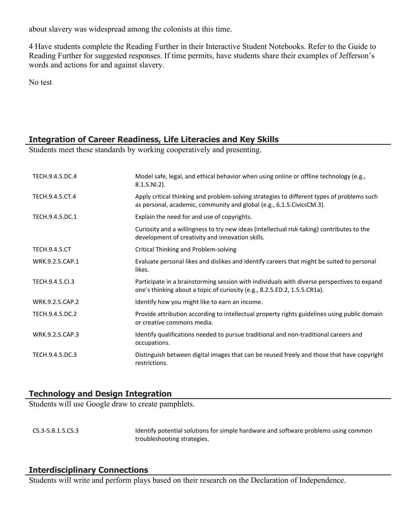about slavery was widespread among the colonists at this time.

4 Have students complete the Reading Further in their Interactive Student Notebooks. Refer to the Guide to Reading Further for suggested responses. If time permits, have students share their examples of Jefferson's words and actions for and against slavery.

No test

# **Integration of Career Readiness, Life Literacies and Key Skills**

Students meet these standards by working cooperatively and presenting.

| TECH.9.4.5.DC.4      | Model safe, legal, and ethical behavior when using online or offline technology (e.g.,<br>$8.1.5.NI.2$ ).                                                                |
|----------------------|--------------------------------------------------------------------------------------------------------------------------------------------------------------------------|
| TECH.9.4.5.CT.4      | Apply critical thinking and problem-solving strategies to different types of problems such<br>as personal, academic, community and global (e.g., 6.1.5. Civics CM.3).    |
| TECH.9.4.5.DC.1      | Explain the need for and use of copyrights.                                                                                                                              |
|                      | Curiosity and a willingness to try new ideas (intellectual risk-taking) contributes to the<br>development of creativity and innovation skills.                           |
| <b>TECH.9.4.5.CT</b> | Critical Thinking and Problem-solving                                                                                                                                    |
| WRK.9.2.5.CAP.1      | Evaluate personal likes and dislikes and identify careers that might be suited to personal<br>likes.                                                                     |
| TECH.9.4.5.Cl.3      | Participate in a brainstorming session with individuals with diverse perspectives to expand<br>one's thinking about a topic of curiosity (e.g., 8.2.5.ED.2, 1.5.5.CR1a). |
| WRK.9.2.5.CAP.2      | Identify how you might like to earn an income.                                                                                                                           |
| TECH.9.4.5.DC.2      | Provide attribution according to intellectual property rights guidelines using public domain<br>or creative commons media.                                               |
| WRK.9.2.5.CAP.3      | Identify qualifications needed to pursue traditional and non-traditional careers and<br>occupations.                                                                     |
| TECH.9.4.5.DC.3      | Distinguish between digital images that can be reused freely and those that have copyright<br>restrictions.                                                              |

# **Technology and Design Integration**

Students will use Google draw to create pamphlets.

CS.3-5.8.1.5.CS.3 Identify potential solutions for simple hardware and software problems using common troubleshooting strategies.

# **Interdisciplinary Connections**

Students will write and perform plays based on their research on the Declaration of Independence.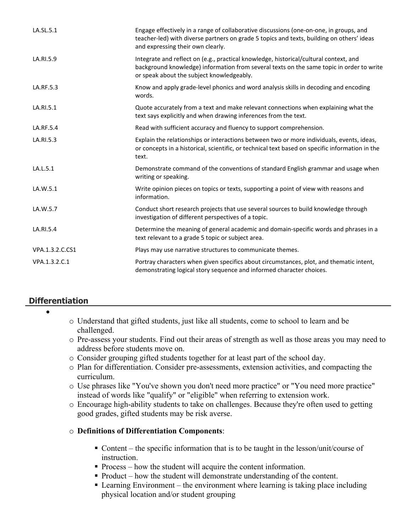| LA.SL.5.1       | Engage effectively in a range of collaborative discussions (one-on-one, in groups, and<br>teacher-led) with diverse partners on grade 5 topics and texts, building on others' ideas<br>and expressing their own clearly.       |
|-----------------|--------------------------------------------------------------------------------------------------------------------------------------------------------------------------------------------------------------------------------|
| LA.RI.5.9       | Integrate and reflect on (e.g., practical knowledge, historical/cultural context, and<br>background knowledge) information from several texts on the same topic in order to write<br>or speak about the subject knowledgeably. |
| LA.RF.5.3       | Know and apply grade-level phonics and word analysis skills in decoding and encoding<br>words.                                                                                                                                 |
| LA.RI.5.1       | Quote accurately from a text and make relevant connections when explaining what the<br>text says explicitly and when drawing inferences from the text.                                                                         |
| LA.RF.5.4       | Read with sufficient accuracy and fluency to support comprehension.                                                                                                                                                            |
| LA.RI.5.3       | Explain the relationships or interactions between two or more individuals, events, ideas,<br>or concepts in a historical, scientific, or technical text based on specific information in the<br>text.                          |
| LA.L.5.1        | Demonstrate command of the conventions of standard English grammar and usage when<br>writing or speaking.                                                                                                                      |
| LA.W.5.1        | Write opinion pieces on topics or texts, supporting a point of view with reasons and<br>information.                                                                                                                           |
| LA.W.5.7        | Conduct short research projects that use several sources to build knowledge through<br>investigation of different perspectives of a topic.                                                                                     |
| LA.RI.5.4       | Determine the meaning of general academic and domain-specific words and phrases in a<br>text relevant to a grade 5 topic or subject area.                                                                                      |
| VPA.1.3.2.C.CS1 | Plays may use narrative structures to communicate themes.                                                                                                                                                                      |
| VPA.1.3.2.C.1   | Portray characters when given specifics about circumstances, plot, and thematic intent,<br>demonstrating logical story sequence and informed character choices.                                                                |

# **Differentiation**

- $\bullet$
- o Understand that gifted students, just like all students, come to school to learn and be challenged.
- o Pre-assess your students. Find out their areas of strength as well as those areas you may need to address before students move on.
- o Consider grouping gifted students together for at least part of the school day.
- o Plan for differentiation. Consider pre-assessments, extension activities, and compacting the curriculum.
- o Use phrases like "You've shown you don't need more practice" or "You need more practice" instead of words like "qualify" or "eligible" when referring to extension work.
- o Encourage high-ability students to take on challenges. Because they're often used to getting good grades, gifted students may be risk averse.
- o **Definitions of Differentiation Components**:
	- Content the specific information that is to be taught in the lesson/unit/course of instruction.
	- Process how the student will acquire the content information.
	- Product how the student will demonstrate understanding of the content.
	- Learning Environment the environment where learning is taking place including physical location and/or student grouping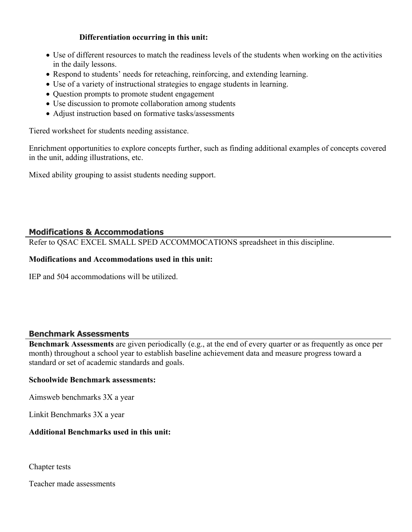## **Differentiation occurring in this unit:**

- Use of different resources to match the readiness levels of the students when working on the activities in the daily lessons.
- Respond to students' needs for reteaching, reinforcing, and extending learning.
- Use of a variety of instructional strategies to engage students in learning.
- Question prompts to promote student engagement
- Use discussion to promote collaboration among students
- Adjust instruction based on formative tasks/assessments

Tiered worksheet for students needing assistance.

Enrichment opportunities to explore concepts further, such as finding additional examples of concepts covered in the unit, adding illustrations, etc.

Mixed ability grouping to assist students needing support.

# **Modifications & Accommodations**

Refer to QSAC EXCEL SMALL SPED ACCOMMOCATIONS spreadsheet in this discipline.

# **Modifications and Accommodations used in this unit:**

IEP and 504 accommodations will be utilized.

# **Benchmark Assessments**

**Benchmark Assessments** are given periodically (e.g., at the end of every quarter or as frequently as once per month) throughout a school year to establish baseline achievement data and measure progress toward a standard or set of academic standards and goals.

### **Schoolwide Benchmark assessments:**

Aimsweb benchmarks 3X a year

Linkit Benchmarks 3X a year

### **Additional Benchmarks used in this unit:**

Chapter tests

Teacher made assessments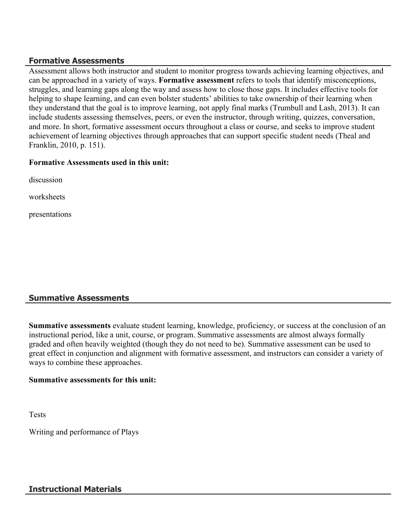# **Formative Assessments**

Assessment allows both instructor and student to monitor progress towards achieving learning objectives, and can be approached in a variety of ways. **Formative assessment** refers to tools that identify misconceptions, struggles, and learning gaps along the way and assess how to close those gaps. It includes effective tools for helping to shape learning, and can even bolster students' abilities to take ownership of their learning when they understand that the goal is to improve learning, not apply final marks (Trumbull and Lash, 2013). It can include students assessing themselves, peers, or even the instructor, through writing, quizzes, conversation, and more. In short, formative assessment occurs throughout a class or course, and seeks to improve student achievement of learning objectives through approaches that can support specific student needs (Theal and Franklin, 2010, p. 151).

### **Formative Assessments used in this unit:**

discussion

worksheets

presentations

# **Summative Assessments**

**Summative assessments** evaluate student learning, knowledge, proficiency, or success at the conclusion of an instructional period, like a unit, course, or program. Summative assessments are almost always formally graded and often heavily weighted (though they do not need to be). Summative assessment can be used to great effect in conjunction and alignment with formative assessment, and instructors can consider a variety of ways to combine these approaches.

### **Summative assessments for this unit:**

Tests

Writing and performance of Plays